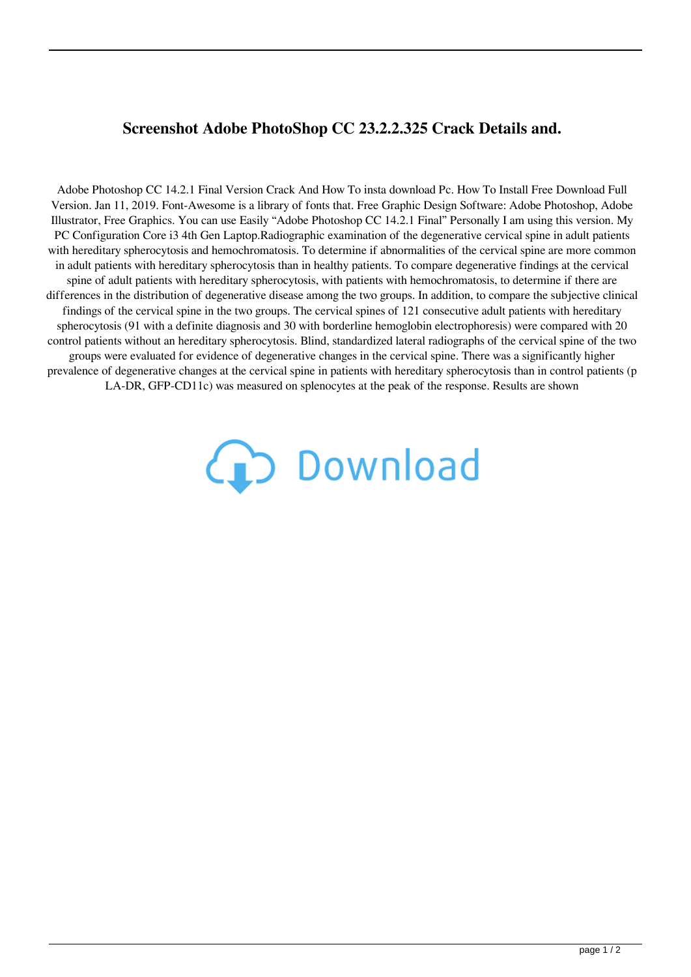## **Screenshot Adobe PhotoShop CC 23.2.2.325 Crack Details and.**

Adobe Photoshop CC 14.2.1 Final Version Crack And How To insta download Pc. How To Install Free Download Full Version. Jan 11, 2019. Font-Awesome is a library of fonts that. Free Graphic Design Software: Adobe Photoshop, Adobe Illustrator, Free Graphics. You can use Easily "Adobe Photoshop CC 14.2.1 Final" Personally I am using this version. My PC Configuration Core i3 4th Gen Laptop.Radiographic examination of the degenerative cervical spine in adult patients with hereditary spherocytosis and hemochromatosis. To determine if abnormalities of the cervical spine are more common in adult patients with hereditary spherocytosis than in healthy patients. To compare degenerative findings at the cervical spine of adult patients with hereditary spherocytosis, with patients with hemochromatosis, to determine if there are differences in the distribution of degenerative disease among the two groups. In addition, to compare the subjective clinical findings of the cervical spine in the two groups. The cervical spines of 121 consecutive adult patients with hereditary spherocytosis (91 with a definite diagnosis and 30 with borderline hemoglobin electrophoresis) were compared with 20 control patients without an hereditary spherocytosis. Blind, standardized lateral radiographs of the cervical spine of the two groups were evaluated for evidence of degenerative changes in the cervical spine. There was a significantly higher prevalence of degenerative changes at the cervical spine in patients with hereditary spherocytosis than in control patients (p LA-DR, GFP-CD11c) was measured on splenocytes at the peak of the response. Results are shown

## **(D** Download